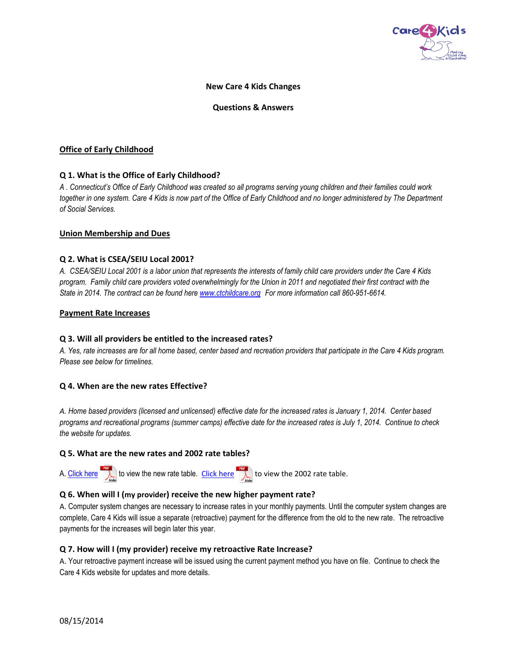

### **New Care 4 Kids Changes**

#### **Questions & Answers**

#### **Office of Early Childhood**

## **Q 1. What is the Office of Early Childhood?**

*A . Connecticut's Office of Early Childhood was created so all programs serving young children and their families could work together in one system. Care 4 Kids is now part of the Office of Early Childhood and no longer administered by The Department of Social Services.* 

#### **Union Membership and Dues**

#### **Q 2. What is CSEA/SEIU Local 2001?**

*A. CSEA/SEIU Local 2001 is a labor union that represents the interests of family child care providers under the Care 4 Kids program. Family child care providers voted overwhelmingly for the Union in 2011 and negotiated their first contract with the State in 2014. The contract can be found here [www.ctchildcare.org](http://www.ctchildcare.org/) For more information call 860-951-6614.*

#### **Payment Rate Increases**

#### **Q 3. Will all providers be entitled to the increased rates?**

*A. Yes, rate increases are for all home based, center based and recreation providers that participate in the Care 4 Kids program. Please see below for timelines.*

#### **Q 4. When are the new rates Effective?**

*A. Home based providers (licensed and unlicensed) effective date for the increased rates is January 1, 2014. Center based programs and recreational programs (summer camps) effective date for the increased rates is July 1, 2014. Continue to check the website for updates.* 

#### **Q 5. What are the new rates and 2002 rate tables?**

A. [Click here](http://www.ctcare4kids.com/files/2014/08/2014C4KRates.pdf) to view the new rate table. [Click here](http://www.ctcare4kids.com/files/2012/05/Rates.pdf) the view the 2002 rate table.

## **Q 6. When will I (my provider) receive the new higher payment rate?**

A. Computer system changes are necessary to increase rates in your monthly payments. Until the computer system changes are complete, Care 4 Kids will issue a separate (retroactive) payment for the difference from the old to the new rate. The retroactive payments for the increases will begin later this year.

#### **Q 7. How will I (my provider) receive my retroactive Rate Increase?**

A. Your retroactive payment increase will be issued using the current payment method you have on file. Continue to check the Care 4 Kids website for updates and more details.